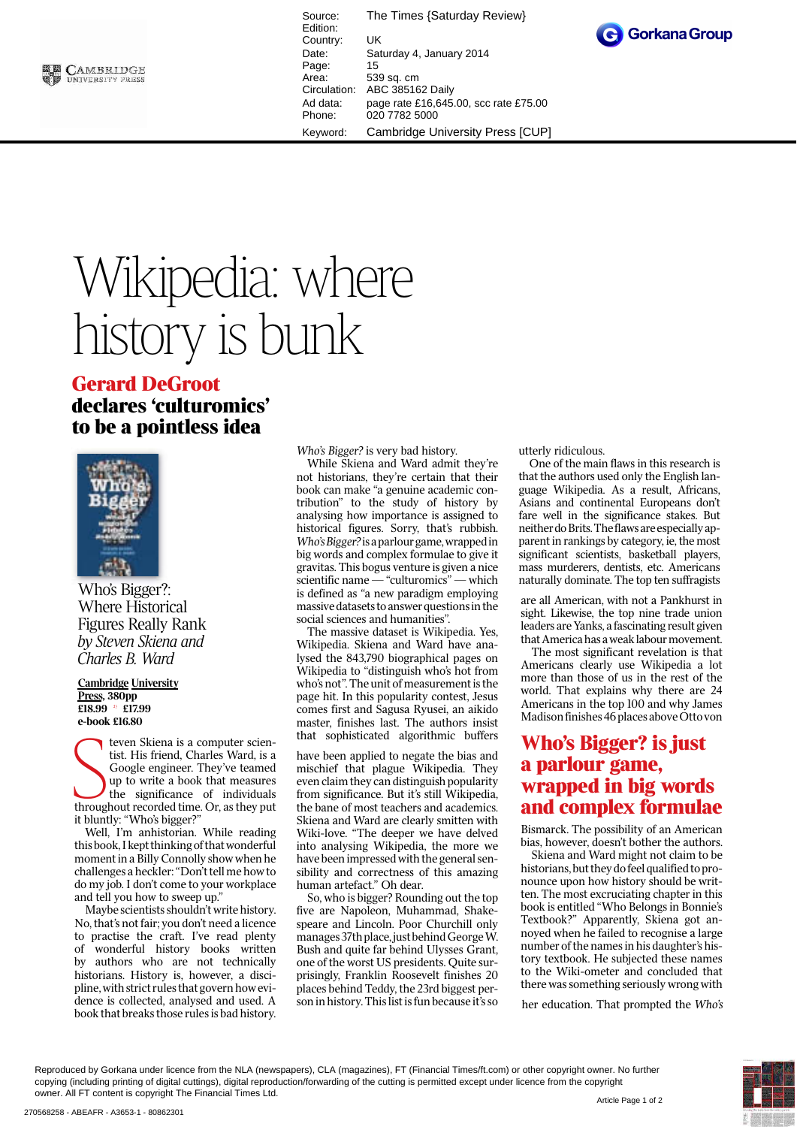

Source: The Times {Saturday Review} Edition: Country: UK Date: Saturday 4, January 2014 Page: 15<br>Area: 53 Area: 539 sq. cm<br>Circulation: ABC 38516 ABC 385162 Daily Ad data: page rate £16,645.00, scc rate £75.00 Phone: 020 7782 5000 Keyword: Cambridge University Press [CUP]



## Wikipedia: where history is bunk

## **Gerard DeGroot declares 'culturomics' to be a pointless idea**



Where Histori **Figures Really Rank** Figures Really Rank *by Steven Skiena and Charles B. Ward*

## **Cambridge University Press, 380pp £18.99 \* £17.99**

Elas.35 Elis.<br>
e-book £16.80<br>
tist. Hi<br>
Google<br>
up to v<br>
the si teven Skiena is a computer scientist. His friend, Charles Ward, is a Google engineer. They've teamed up to write a book that measures the significance of individuals throughout recorded time. Or, as they put it bluntly: "Who's bigger?"

Well, I'm anhistorian. While reading this book, I kept thinking of that wonderful moment in a Billy Connolly show when he challenges a heckler: "Don't tell me how to do my job. I don't come to your workplace and tell you how to sweep up."

Maybe scientists shouldn't write history. No, that's not fair; you don't need a licence to practise the craft. I've read plenty of wonderful history books written by authors who are not technically historians. History is, however, a discipline, with strict rules that govern how evidence is collected, analysed and used. A book that breaks those rules is bad history.

Who's Bigger? is very bad history.

While Skiena and Ward admit they're not historians, they're certain that their book can make "a genuine academic contribution" to the study of history by analysing how importance is assigned to historical figures. Sorry, that's rubbish. Who's Bigger? is a parlour game, wrapped in big words and complex formulae to give it gravitas. This bogus venture is given a nice scientific name — "culturomics" — which is defined as "a new paradigm employing massive datasets to answer questionsin the social sciences and humanities".

The massive dataset is Wikipedia. Yes, Wikipedia. Skiena and Ward have analysed the 843,790 biographical pages on Wikipedia to "distinguish who's hot from who's not". The unit of measurement is the page hit. In this popularity contest, Jesus comes first and Sagusa Ryusei, an aikido master, finishes last. The authors insist that sophisticated algorithmic buffers

have been applied to negate the bias and mischief that plague Wikipedia. They even claim they can distinguish popularity from significance. But it's still Wikipedia, the bane of most teachers and academics. Skiena and Ward are clearly smitten with Wiki-love. "The deeper we have delved into analysing Wikipedia, the more we have been impressed with the general sensibility and correctness of this amazing human artefact." Oh dear.

So, who is bigger? Rounding out the top five are Napoleon, Muhammad, Shakespeare and Lincoln. Poor Churchill only manages 37th place, just behind GeorgeW. Bush and quite far behind Ulysses Grant, one of the worst US presidents. Quite surprisingly, Franklin Roosevelt finishes 20 places behind Teddy, the 23rd biggest person in history. This list is fun because it's so utterly ridiculous.

One of the main flaws in this research is that the authors used only the English language Wikipedia. As a result, Africans, Asians and continental Europeans don't fare well in the significance stakes. But neither doBrits.Theflawsareespeciallyapparent in rankings by category, ie, the most significant scientists, basketball players, mass murderers, dentists, etc. Americans naturally dominate. The top ten suffragists

are all American, with not a Pankhurst in sight. Likewise, the top nine trade union leaders are Yanks, a fascinating result given that America has a weak labour movement.

The most significant revelation is that Americans clearly use Wikipedia a lot more than those of us in the rest of the world. That explains why there are 24 Americans in the top 100 and why James Madison finishes 46 places above Otto von

## **Who's Bigger? is just a parlour game, wrapped in big words and complex formulae**

Bismarck. The possibility of an American bias, however, doesn't bother the authors.

Skiena and Ward might not claim to be historians, but they dofeel qualified to pronounce upon how history should be written. The most excruciating chapter in this book is entitled "Who Belongs in Bonnie's Textbook?" Apparently, Skiena got annoyed when he failed to recognise a large number of the names in his daughter's history textbook. He subjected these names to the Wiki-ometer and concluded that there was something seriously wrong with

her education. That prompted the Who's

Reproduced by Gorkana under licence from the NLA (newspapers), CLA (magazines), FT (Financial Times/ft.com) or other copyright owner. No further copying (including printing of digital cuttings), digital reproduction/forwarding of the cutting is permitted except under licence from the copyright owner. All FT content is copyright The Financial Times Ltd.